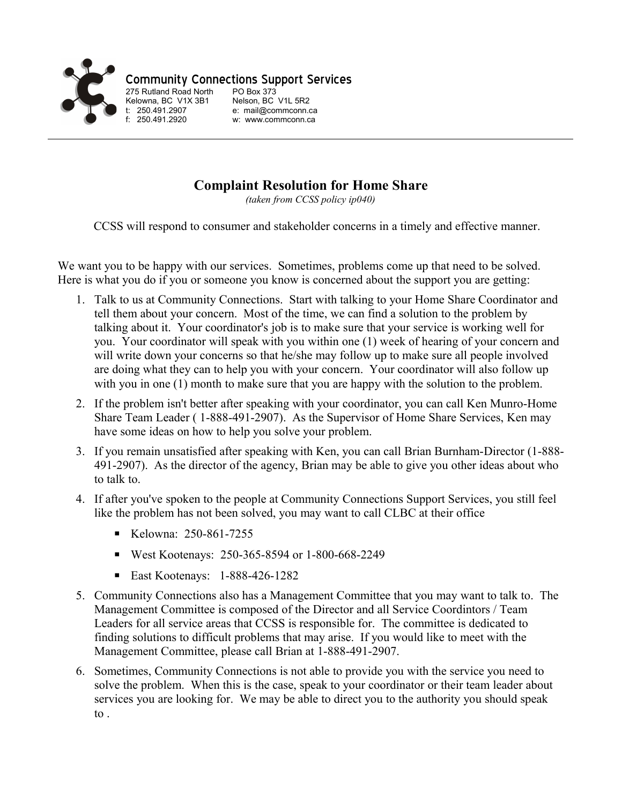

Community Connections Support Services

Kelowna, BC V1X 3B1 t: 250.491.2907 f: 250.491.2920

275 Rutland Road North PO Box 373 Nelson, BC V1L 5R2 e: mail@commconn.ca w: www.commconn.ca

## **Complaint Resolution for Home Share**

*(taken from CCSS policy ip040)*

CCSS will respond to consumer and stakeholder concerns in a timely and effective manner.

We want you to be happy with our services. Sometimes, problems come up that need to be solved. Here is what you do if you or someone you know is concerned about the support you are getting:

- 1. Talk to us at Community Connections. Start with talking to your Home Share Coordinator and tell them about your concern. Most of the time, we can find a solution to the problem by talking about it. Your coordinator's job is to make sure that your service is working well for you. Your coordinator will speak with you within one (1) week of hearing of your concern and will write down your concerns so that he/she may follow up to make sure all people involved are doing what they can to help you with your concern. Your coordinator will also follow up with you in one (1) month to make sure that you are happy with the solution to the problem.
- 2. If the problem isn't better after speaking with your coordinator, you can call Ken Munro-Home Share Team Leader ( 1-888-491-2907). As the Supervisor of Home Share Services, Ken may have some ideas on how to help you solve your problem.
- 3. If you remain unsatisfied after speaking with Ken, you can call Brian Burnham-Director (1-888- 491-2907). As the director of the agency, Brian may be able to give you other ideas about who to talk to.
- 4. If after you've spoken to the people at Community Connections Support Services, you still feel like the problem has not been solved, you may want to call CLBC at their office
	- Kelowna: 250-861-7255
	- West Kootenays: 250-365-8594 or 1-800-668-2249
	- East Kootenays: 1-888-426-1282
- 5. Community Connections also has a Management Committee that you may want to talk to. The Management Committee is composed of the Director and all Service Coordintors / Team Leaders for all service areas that CCSS is responsible for. The committee is dedicated to finding solutions to difficult problems that may arise. If you would like to meet with the Management Committee, please call Brian at 1-888-491-2907.
- 6. Sometimes, Community Connections is not able to provide you with the service you need to solve the problem. When this is the case, speak to your coordinator or their team leader about services you are looking for. We may be able to direct you to the authority you should speak to .